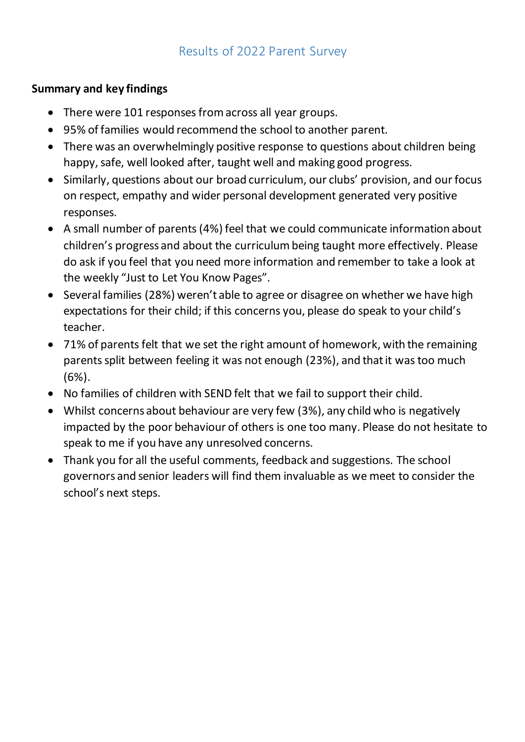## Results of 2022 Parent Survey

## **Summary and key findings**

- There were 101 responses from across all year groups.
- 95% of families would recommend the school to another parent.
- There was an overwhelmingly positive response to questions about children being happy, safe, well looked after, taught well and making good progress.
- Similarly, questions about our broad curriculum, our clubs' provision, and our focus on respect, empathy and wider personal development generated very positive responses.
- A small number of parents (4%) feel that we could communicate information about children's progress and about the curriculum being taught more effectively. Please do ask if you feel that you need more information and remember to take a look at the weekly "Just to Let You Know Pages".
- Several families (28%) weren't able to agree or disagree on whether we have high expectations for their child; if this concerns you, please do speak to your child's teacher.
- 71% of parents felt that we set the right amount of homework, with the remaining parents split between feeling it was not enough (23%), and that it was too much (6%).
- No families of children with SEND felt that we fail to support their child.
- Whilst concerns about behaviour are very few (3%), any child who is negatively impacted by the poor behaviour of others is one too many. Please do not hesitate to speak to me if you have any unresolved concerns.
- Thank you for all the useful comments, feedback and suggestions. The school governors and senior leaders will find them invaluable as we meet to consider the school's next steps.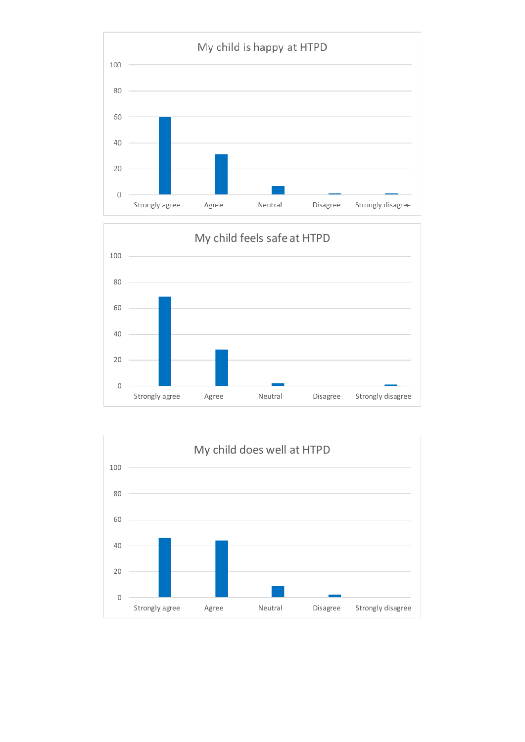



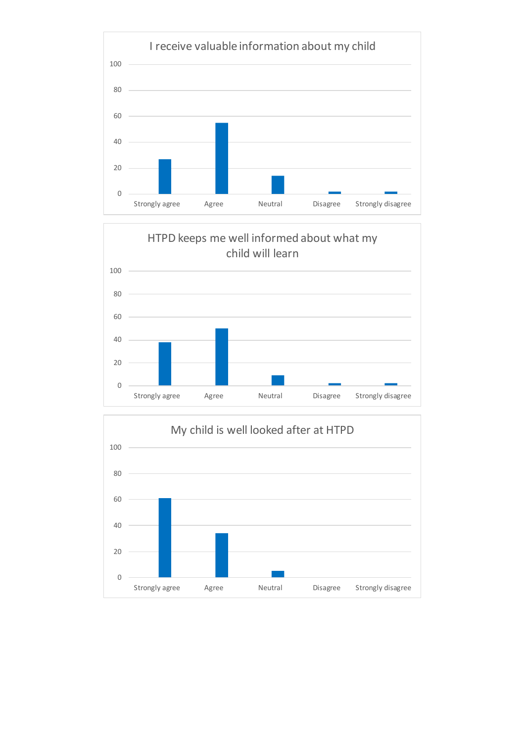



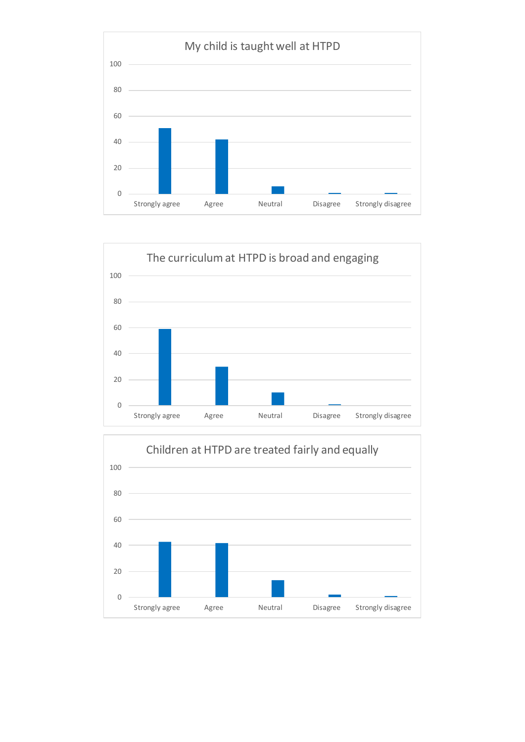



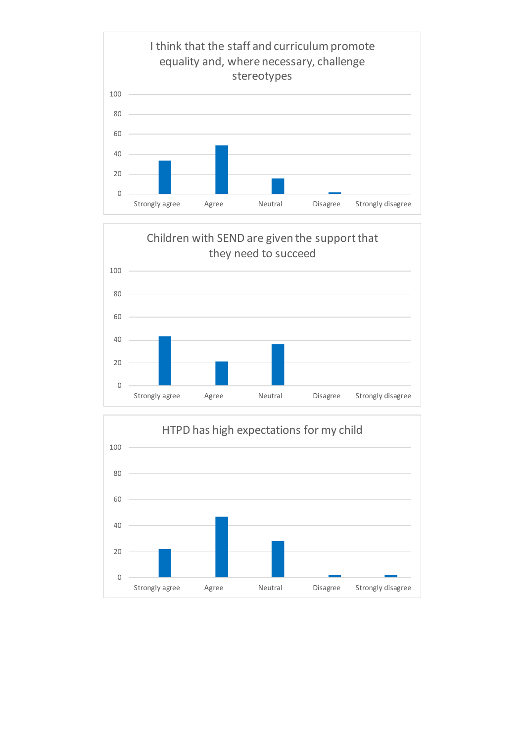



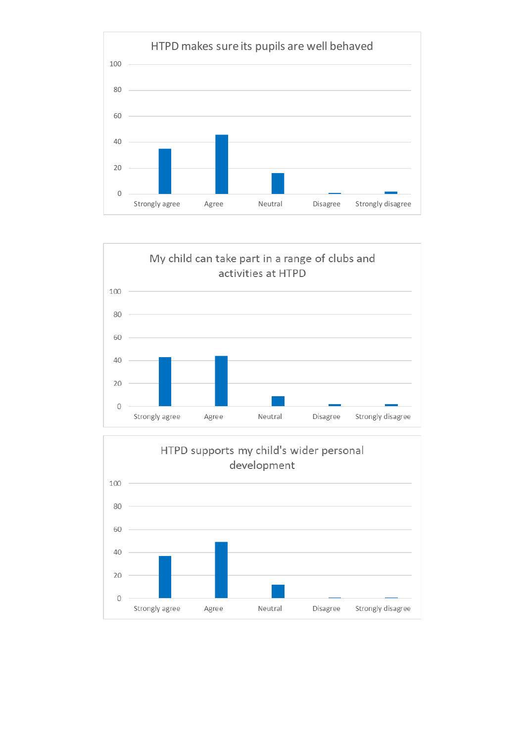